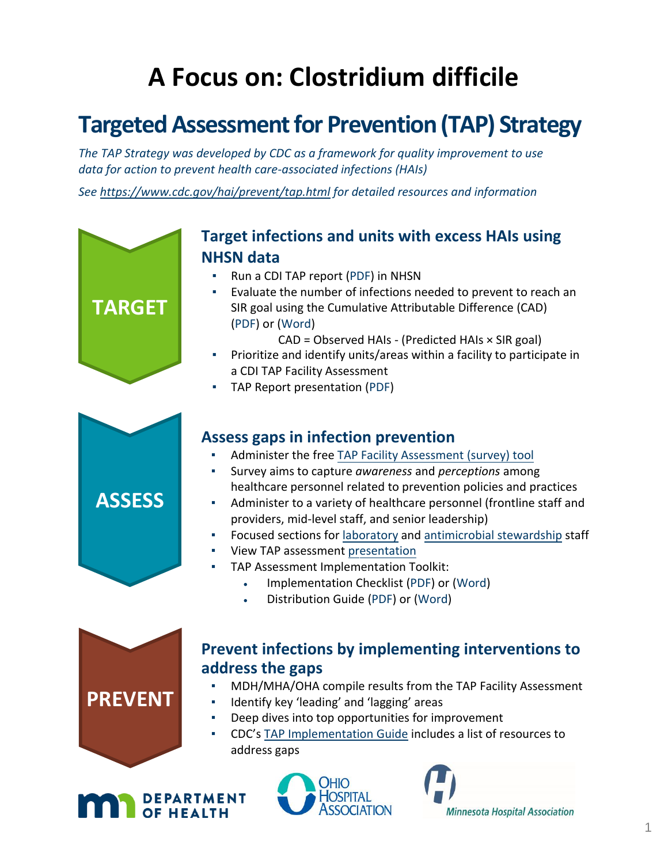# **A Focus on: Clostridium difficile**

# **Targeted Assessment for Prevention (TAP) Strategy**

*The TAP Strategy was developed by CDC as a framework for quality improvement to use data for action to prevent health care-associated infections (HAIs)*

*See<https://www.cdc.gov/hai/prevent/tap.html> for detailed resources and information*



# **Target infections and units with excess HAIs using NHSN data**

- Run a CDI TAP report [\(PDF\)](#page-2-0) in NHSN
- Evaluate the number of infections needed to prevent to reach an SIR goal using the Cumulative Attributable Difference (CAD) [\(PDF\)](#page-5-0) or [\(Word\)](https://www.mnhospitals.org/Portals/0/Documents/patientsafety/Cumulative%20Attributable%20Difference.docx)

CAD = Observed HAIs - (Predicted HAIs × SIR goal)

- Prioritize and identify units/areas within a facility to participate in a CDI TAP Facility Assessment
- TAP Report presentation [\(PDF\)](#page-2-0)



# **Assess gaps in infection prevention**

- Administer the free [TAP Facility Assessment \(survey\) tool](https://www.cdc.gov/hai/pdfs/tap/CDI-TAP-Facility-Assessment-Tool-v5.0-April-2018-508.pdf)
- Survey aims to capture *awareness* and *perceptions* among healthcare personnel related to prevention policies and practices
- Administer to a variety of healthcare personnel (frontline staff and providers, mid-level staff, and senior leadership)
- Focused sections for [laboratory](https://www.cdc.gov/hai/pdfs/tap/CDI-facility-Assessment-Tool-v4.0-July2016-LabSection-Reader-Enabled.pdf) and [antimicrobial stewardship](https://www.cdc.gov/hai/pdfs/tap/CDI-Facility-Assessment-Tool-v4.0-July2016-Antibiotic-Stewardship-Section-Reader-Enabled.pdf) staff
- View TAP assessment [presentation](https://web.telspan.com/play/240mnhospitals/6635-2-13-18-asp-webinar)
- TAP Assessment Implementation Toolkit:
	- Implementation Checklist [\(PDF\)](#page-6-0) or [\(Word\)](https://www.mnhospitals.org/Portals/0/Documents/patientsafety/Implementation%20Checkilst.docx)
	- Distribution Guide [\(PDF\)](#page-7-0) or [\(Word\)](https://www.mnhospitals.org/Portals/0/Documents/patientsafety/Distribution%20Guide.docx)



# **Prevent infections by implementing interventions to address the gaps**

- MDH/MHA/OHA compile results from the TAP Facility Assessment
- Identify key 'leading' and 'lagging' areas
- Deep dives into top opportunities for improvement
- CDC's [TAP Implementation Guide](https://www.cdc.gov/hai/prevent/tap/cdiff.html) includes a list of resources to address gaps





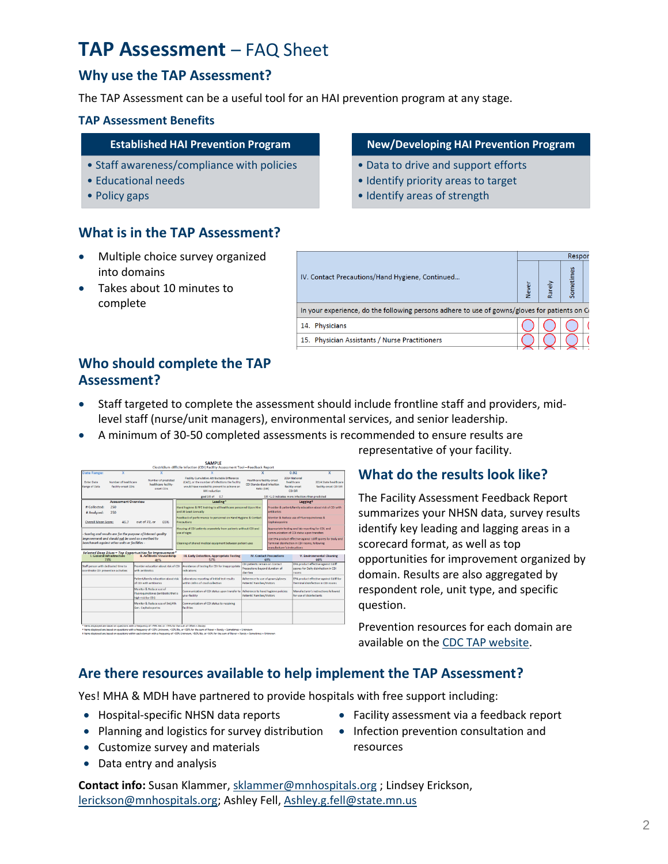# **TAP Assessment** – FAQ Sheet

### **Why use the TAP Assessment?**

The TAP Assessment can be a useful tool for an HAI prevention program at any stage.

### **TAP Assessment Benefits**

### **Established HAI Prevention Program**

- Staff awareness/compliance with policies
- Educational needs
- Policy gaps

## • Data to drive and support efforts

**New/Developing HAI Prevention Program**

- Identify priority areas to target
- Identify areas of strength

### **What is in the TAP Assessment?**

- Multiple choice survey organized into domains
- Takes about 10 minutes to complete

|                                                                                                  | Respor |       |        |  |  |  |
|--------------------------------------------------------------------------------------------------|--------|-------|--------|--|--|--|
| IV. Contact Precautions/Hand Hygiene, Continued                                                  | Vever  | Rarel | ometir |  |  |  |
| In your experience, do the following persons adhere to use of gowns/gloves for patients on $C_1$ |        |       |        |  |  |  |
| 14. Physicians                                                                                   |        |       |        |  |  |  |
| 15. Physician Assistants / Nurse Practitioners                                                   |        |       |        |  |  |  |

### **Who should complete the TAP Assessment?**

- Staff targeted to complete the assessment should include frontline staff and providers, midlevel staff (nurse/unit managers), environmental services, and senior leadership.
- A minimum of 30-50 completed assessments is recommended to ensure results are

|                                                                                                                                                        |                                                                                       | Clostridium difficile Infection (CDI) Facility Assessment Tool-Feedback Report                                                                                       |                                                                               |                                                                                                                                              |                                                                                                                                                   |                                                 |  |
|--------------------------------------------------------------------------------------------------------------------------------------------------------|---------------------------------------------------------------------------------------|----------------------------------------------------------------------------------------------------------------------------------------------------------------------|-------------------------------------------------------------------------------|----------------------------------------------------------------------------------------------------------------------------------------------|---------------------------------------------------------------------------------------------------------------------------------------------------|-------------------------------------------------|--|
| <b>Date Range:</b>                                                                                                                                     |                                                                                       |                                                                                                                                                                      |                                                                               |                                                                                                                                              | 0.92                                                                                                                                              |                                                 |  |
| Number of predicted<br>Number of healthcare.<br><b>Fotor Date</b><br>healthcare facility-<br><b>Range of Data</b><br>facility-onset CDIs<br>neset CDIs |                                                                                       | Facility Cumulative Attributable Difference<br>(CAD), or the number of infections the facility<br>would have needed to prevent to achieve an<br><b>HAI reduction</b> | <b>Healthcare facility-onset</b><br>CDI Standardized Infection<br>Ratio (SIR) |                                                                                                                                              | 2014 National<br>healthcare<br>facility-onset<br>CDI SIR                                                                                          | 2014 State healthcare<br>facility-onset CDI SIR |  |
|                                                                                                                                                        |                                                                                       | goal SIR of 0.7                                                                                                                                                      |                                                                               | SIR >1.0 indicates more infections than predicted                                                                                            |                                                                                                                                                   |                                                 |  |
| <b>Accessment Overview</b>                                                                                                                             |                                                                                       | Leading*                                                                                                                                                             |                                                                               | Laggingt<br>Provider & patient/family education about risk of CDI with<br>antibiotics                                                        |                                                                                                                                                   |                                                 |  |
| # Collected:<br>250<br>250<br># Analyzed:                                                                                                              |                                                                                       | Hand hygiene & PPE training to all healthcare personnel Upon Hire<br>and At Least Annually                                                                           |                                                                               |                                                                                                                                              |                                                                                                                                                   |                                                 |  |
| <b>Overall Mean Score:</b><br>46.7                                                                                                                     | out of 72, or<br>65%                                                                  | Feedback of performance to personnel on Hand Hygiene & Contact<br>Precautions                                                                                        |                                                                               | Monitor & Reduce use of Fluoroguinolones &<br>Cephalosporins                                                                                 |                                                                                                                                                   |                                                 |  |
| Scoring and results are for the purpose of internal quality                                                                                            |                                                                                       | Housing of CDI patients separately from patients without CDI and<br>use of signs                                                                                     |                                                                               | Appropriate testing and lab reporting for CDI, and<br>communication of CDI status upon transfers                                             |                                                                                                                                                   |                                                 |  |
| improvement and should not be used as a method to<br>benchmark against other units or facilities -                                                     |                                                                                       | Cleaning of shared medical equipment between patient uses                                                                                                            |                                                                               | Use EPA product effective against Cdiff spores for Daily and<br>Terminal disinfection in CDI rooms, following<br>manufacturer's instructions |                                                                                                                                                   |                                                 |  |
| " Selected Deep Dives - Top Opportunities for Improvement<br>L. General Infrastructure  III. Antibiotic Stewardship<br>73%                             | 41%                                                                                   | <b>III. Early Detection, Appropriate Testing</b><br>57%                                                                                                              | <b>IV. Contact Precautions</b><br>69%                                         |                                                                                                                                              | V. Environmental Cleaning<br>60%                                                                                                                  |                                                 |  |
| Staff person with dedicated time to<br>coordinate CDI prevention activities                                                                            | Provider education about risk of CDI<br>with antihintics.                             | Avoidance of testing for CDI for inappropriate<br>indications                                                                                                        | CDI patients remain on Contact<br>Precautions beyond duration of<br>diarrhea  |                                                                                                                                              | <b>EPA product effective against Cdiff</b><br>spores for Daily disinfection in CDI<br>rooms                                                       |                                                 |  |
|                                                                                                                                                        | Patient/family education about risk<br>of CDI with antibiotics                        | Laboratory reporting of initial test results<br>within 24hrs of stool collection                                                                                     | Adherence to use of gowns/gloves:<br>Patients' Families/Visitors              |                                                                                                                                              | EPA product effective against Cdiff for<br>Terminal disinfection in CDI rooms<br>Manufacturer's instructions followed<br>for use of disinfectants |                                                 |  |
|                                                                                                                                                        | Monitor & Reduce use of<br>Fluoroguinolones (antibiotic that is<br>high-risk for CDI) | Communication of CDI status upon transfer to Adherence to hand hygiene policies:<br>your facility.                                                                   |                                                                               | Patients' Families/Visitors                                                                                                                  |                                                                                                                                                   |                                                 |  |
|                                                                                                                                                        | Monitor & Reduce use of 3rd/4th<br>Gen. Cephalosporins                                | Communication of CDI status to receiving<br><b>facilities</b>                                                                                                        |                                                                               |                                                                                                                                              |                                                                                                                                                   |                                                 |  |
| * Items displayed are based on questions with a frequency of >75% Yes or >75% for the sum of Often + Always                                            |                                                                                       |                                                                                                                                                                      |                                                                               |                                                                                                                                              |                                                                                                                                                   |                                                 |  |

**SAMPLE** 

\* literns displayed are based on questions with a frequency of >33% Unknown, >50% No, or >50% for the sum of Never + Rarely + Sometimes + Unknown<br>\* literns displayed are based on questions within each domain with a frequen

representative of your facility.

### **What do the results look like?**

The Facility Assessment Feedback Report summarizes your NHSN data, survey results identify key leading and lagging areas in a scorecard format, as well as top opportunities for improvement organized by domain. Results are also aggregated by respondent role, unit type, and specific question.

Prevention resources for each domain are available on the [CDC TAP website.](https://www.cdc.gov/hai/prevent/tap.html)

### **Are there resources available to help implement the TAP Assessment?**

Yes! MHA & MDH have partnered to provide hospitals with free support including:

- Hospital-specific NHSN data reports
- Planning and logistics for survey distribution Infection prevention consultation and
- Customize survey and materials
- Data entry and analysis
- Facility assessment via a feedback report
- resources

**Contact info:** Susan Klammer, [sklammer@mnhospitals.org](mailto:sklammer@mnhospitals.org) ; Lindsey Erickson, [lerickson@mnhospitals.org;](mailto:lerickson@mnhospitals.org) Ashley Fell, [Ashley.g.fell@state.mn.us](mailto:Ashley.g.fell@state.mn.us)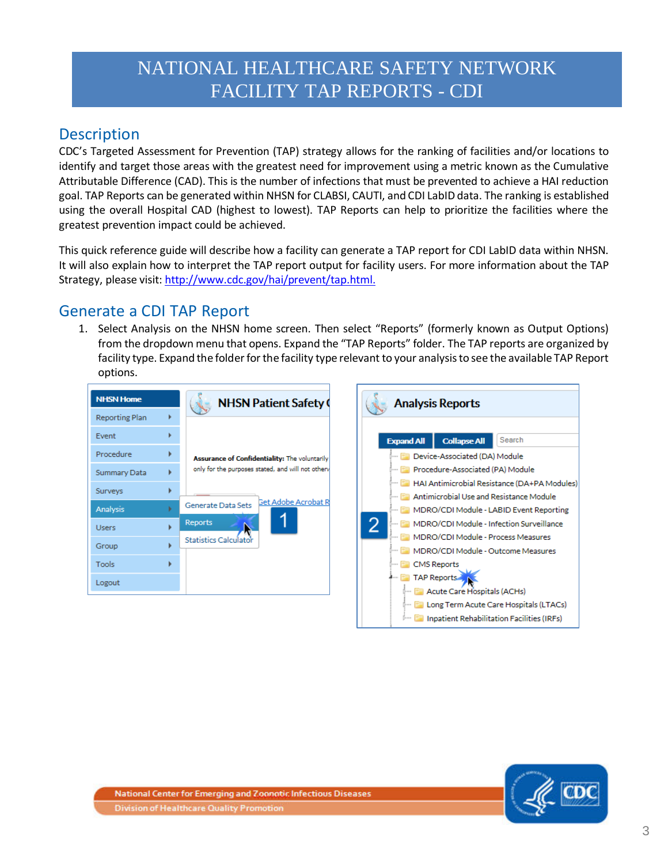# NATIONAL HEALTHCARE SAFETY NETWORK FACILITY TAP REPORTS - CDI

# <span id="page-2-0"></span>**Description**

CDC's Targeted Assessment for Prevention (TAP) strategy allows for the ranking of facilities and/or locations to identify and target those areas with the greatest need for improvement using a metric known as the Cumulative Attributable Difference (CAD). This is the number of infections that must be prevented to achieve a HAI reduction goal. TAP Reports can be generated within NHSN for CLABSI, CAUTI, and CDI LabID data. The ranking is established using the overall Hospital CAD (highest to lowest). TAP Reports can help to prioritize the facilities where the greatest prevention impact could be achieved.

This quick reference guide will describe how a facility can generate a TAP report for CDI LabID data within NHSN. It will also explain how to interpret the TAP report output for facility users. For more information about the TAP Strategy, please visit: [http://www.cdc.gov/hai/prevent/tap.html.](http://www.cdc.gov/hai/prevent/tap.html)

# Generate a CDI TAP Report

1. Select Analysis on the NHSN home screen. Then select "Reports" (formerly known as Output Options) from the dropdown menu that opens. Expand the "TAP Reports" folder. The TAP reports are organized by facility type. Expand the folder for the facility type relevant to your analysis to see the available TAP Report options.

| <b>NHSN Home</b>      |   | <b>NHSN Patient Safety (</b>                      |
|-----------------------|---|---------------------------------------------------|
| <b>Reporting Plan</b> |   |                                                   |
| Event                 |   |                                                   |
| Procedure             |   | Assurance of Confidentiality: The voluntarily     |
| Summary Data          |   | only for the purposes stated, and will not otherv |
| Surveys               |   |                                                   |
| Analysis              | ь | Get Adobe Acrobat R<br>Generate Data Sets         |
| <b>Users</b>          |   | <b>Reports</b>                                    |
| Group                 |   | Statistics Calculator                             |
| Tools                 |   |                                                   |
| Logout                |   |                                                   |



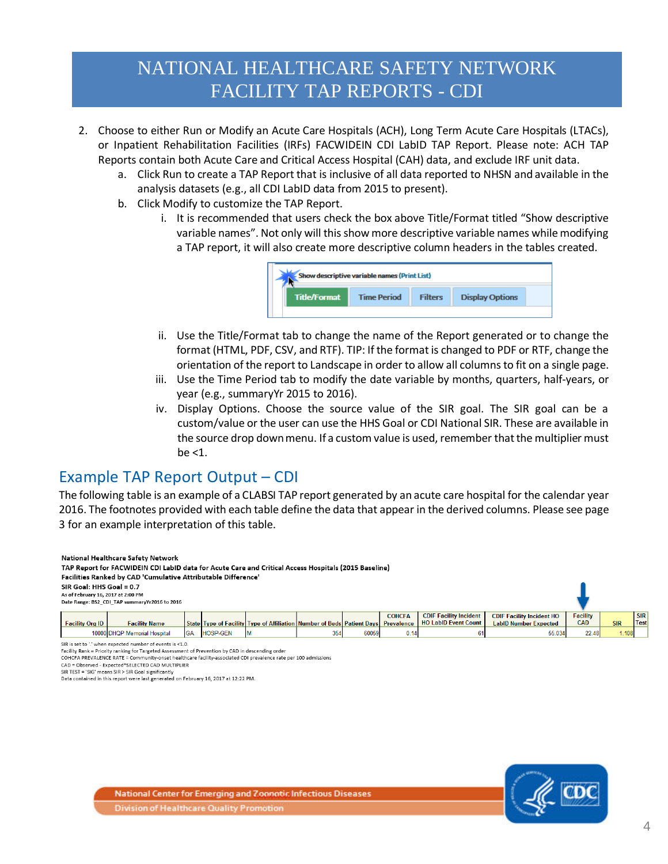# NATIONAL HEALTHCARE SAFETY NETWORK FACILITY TAP REPORTS - CDI

- 2. Choose to either Run or Modify an Acute Care Hospitals (ACH), Long Term Acute Care Hospitals (LTACs), or Inpatient Rehabilitation Facilities (IRFs) FACWIDEIN CDI LabID TAP Report. Please note: ACH TAP Reports contain both Acute Care and Critical Access Hospital (CAH) data, and exclude IRF unit data.
	- a. Click Run to create a TAP Report that is inclusive of all data reported to NHSN and available in the analysis datasets (e.g., all CDI LabID data from 2015 to present).
	- b. Click Modify to customize the TAP Report.
		- i. It is recommended that users check the box above Title/Format titled "Show descriptive variable names". Not only will this show more descriptive variable names while modifying a TAP report, it will also create more descriptive column headers in the tables created.



- ii. Use the Title/Format tab to change the name of the Report generated or to change the format (HTML, PDF, CSV, and RTF). TIP: If the format is changed to PDF or RTF, change the orientation of the report to Landscape in order to allow all columns to fit on a single page.
- iii. Use the Time Period tab to modify the date variable by months, quarters, half-years, or year (e.g., summaryYr 2015 to 2016).
- iv. Display Options. Choose the source value of the SIR goal. The SIR goal can be a custom/value or the user can use the HHS Goal or CDI National SIR. These are available in the source drop down menu. If a custom value is used, remember that the multiplier must  $be < 1$ .

Example TAP Report Output – CDI<br>The following table is an example of a CLABSI TAP report generated by an acute care hospital for the calendar year 2016. The footnotes provided with each table define the data that appear in the derived columns. Please see page 3 for an example interpretation of this table.

| National Healthcare Safety Network<br>TAP Report for FACWIDEIN CDI LabID data for Acute Care and Critical Access Hospitals (2015 Baseline)<br>Facilities Ranked by CAD 'Cumulative Attributable Difference' |                              |            |                 |                                                                                   |     |       |               |                                                              |                                                                  |                               |            |                    |
|-------------------------------------------------------------------------------------------------------------------------------------------------------------------------------------------------------------|------------------------------|------------|-----------------|-----------------------------------------------------------------------------------|-----|-------|---------------|--------------------------------------------------------------|------------------------------------------------------------------|-------------------------------|------------|--------------------|
| SIR Goal: HHS Goal = 0.7<br>As of February 16, 2017 at 2:00 PM<br>Date Range: BS2 CDI TAP summaryYr2016 to 2016                                                                                             |                              |            |                 |                                                                                   |     |       |               |                                                              |                                                                  |                               |            |                    |
| <b>Facility Org ID</b>                                                                                                                                                                                      | <b>Facility Name</b>         |            |                 | State Type of Facility Type of Affiliation Number of Beds Patient Days Prevalence |     |       | <b>COHCFA</b> | <b>CDIF Facility Incident</b><br><b>HO LabID Event Count</b> | <b>CDIF Facility Incident HO</b><br><b>LabID Number Expected</b> | <b>Facility</b><br><b>CAD</b> | <b>SIR</b> | <b>SIR</b><br>Test |
|                                                                                                                                                                                                             | 10000 DHQP Memorial Hospital | <b>IGA</b> | <b>HOSP-GEN</b> |                                                                                   | 354 | 60059 | 0.14          |                                                              | 55.034                                                           | 22.48                         | 1.108      |                    |

SIR is set to '.' when expected number of events is <1.0.

Facility Rank = Priority ranking for Targeted Assessment of Prevention by CAD in descending order COHCFA PREVALENCE RATE = Community-onset healthcare facility-associated CDI prevalence rate per 100 admissions

CAD = Observed - Expected\*SELECTED CAD MULTIPLIER

SIR TEST = 'SIG' means SIR > SIR Goal significantly

Data contained in this report were last generated on February 16, 2017 at 12:22 PM.

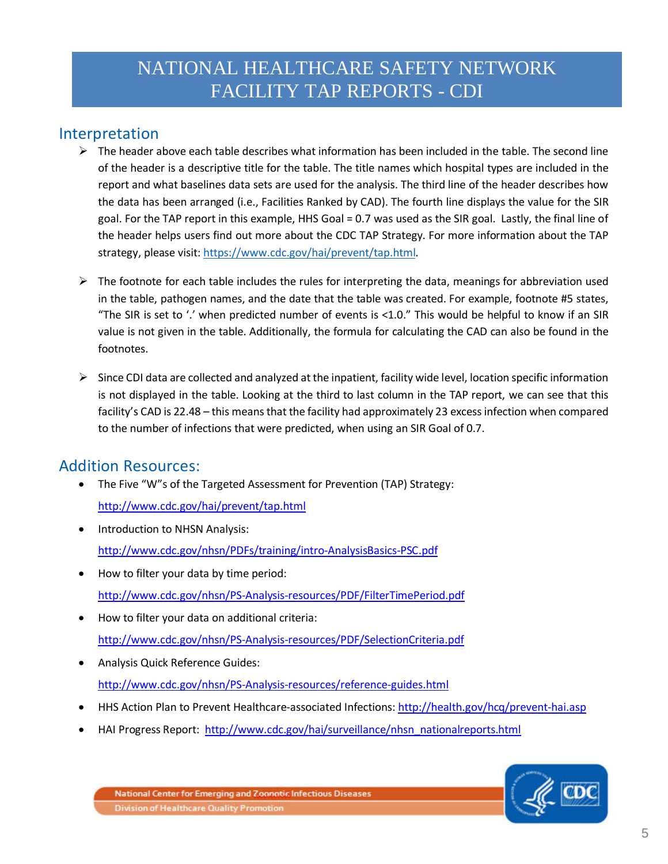# NATIONAL HEALTHCARE SAFETY NETWORK FACILITY TAP REPORTS - CDI

### Interpretation

- $\triangleright$  The header above each table describes what information has been included in the table. The second line of the header is a descriptive title for the table. The title names which hospital types are included in the report and what baselines data sets are used for the analysis. The third line of the header describes how the data has been arranged (i.e., Facilities Ranked by CAD). The fourth line displays the value for the SIR goal. For the TAP report in this example, HHS Goal = 0.7 was used as the SIR goal. Lastly, the final line of the header helps users find out more about the CDC TAP Strategy. For more information about the TAP strategy, please visit[: https://www.cdc.gov/hai/prevent/tap.html.](https://www.cdc.gov/hai/prevent/tap.html)
- $\triangleright$  The footnote for each table includes the rules for interpreting the data, meanings for abbreviation used in the table, pathogen names, and the date that the table was created. For example, footnote #5 states, "The SIR is set to '.' when predicted number of events is <1.0." This would be helpful to know if an SIR value is not given in the table. Additionally, the formula for calculating the CAD can also be found in the footnotes.
- $\triangleright$  Since CDI data are collected and analyzed at the inpatient, facility wide level, location specific information is not displayed in the table. Looking at the third to last column in the TAP report, we can see that this facility's CAD is 22.48 – this means that the facility had approximately 23 excess infection when compared to the number of infections that were predicted, when using an SIR Goal of 0.7.

### Addition Resources:

- The Five "W"s of the Targeted Assessment for Prevention (TAP) Strategy:
	- <http://www.cdc.gov/hai/prevent/tap.html>
- Introduction to NHSN Analysis: <http://www.cdc.gov/nhsn/PDFs/training/intro-AnalysisBasics-PSC.pdf>
- How to filter your data by time period: <http://www.cdc.gov/nhsn/PS-Analysis-resources/PDF/FilterTimePeriod.pdf>
- How to filter your data on additional criteria: <http://www.cdc.gov/nhsn/PS-Analysis-resources/PDF/SelectionCriteria.pdf>
- Analysis Quick Reference Guides: <http://www.cdc.gov/nhsn/PS-Analysis-resources/reference-guides.html>
- HHS Action Plan to Prevent Healthcare-associated Infections:<http://health.gov/hcq/prevent-hai.asp>
- HAI Progress Report: [http://www.cdc.gov/hai/surveillance/nhsn\\_nationalreports.html](http://www.cdc.gov/hai/surveillance/nhsn_nationalreports.html)

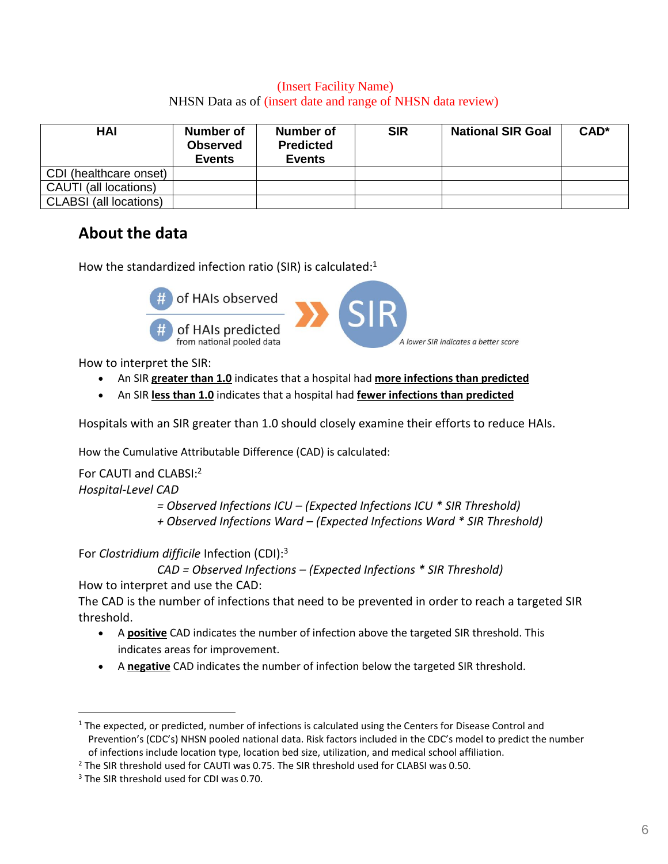### (Insert Facility Name) NHSN Data as of (insert date and range of NHSN data review)

<span id="page-5-0"></span>

| <b>HAI</b>                    | <b>Number of</b><br><b>Observed</b><br><b>Events</b> | Number of<br><b>Predicted</b><br><b>Events</b> | <b>SIR</b> | <b>National SIR Goal</b> | CAD <sup>*</sup> |
|-------------------------------|------------------------------------------------------|------------------------------------------------|------------|--------------------------|------------------|
| CDI (healthcare onset)        |                                                      |                                                |            |                          |                  |
| CAUTI (all locations)         |                                                      |                                                |            |                          |                  |
| <b>CLABSI</b> (all locations) |                                                      |                                                |            |                          |                  |

# **About the data**

How the standardized infection ratio (SIR) is calculated:<sup>1</sup>



How to interpret the SIR:

- An SIR **greater than 1.0** indicates that a hospital had **more infections than predicted**
- An SIR **less than 1.0** indicates that a hospital had **fewer infections than predicted**

Hospitals with an SIR greater than 1.0 should closely examine their efforts to reduce HAIs.

How the Cumulative Attributable Difference (CAD) is calculated:

For CAUTI and CLABSI:<sup>2</sup>

*Hospital-Level CAD*

 $\overline{a}$ 

*= Observed Infections ICU – (Expected Infections ICU \* SIR Threshold)*

*+ Observed Infections Ward – (Expected Infections Ward \* SIR Threshold)*

For *Clostridium difficile* Infection (CDI):<sup>3</sup>

```
CAD = Observed Infections – (Expected Infections * SIR Threshold)
```
How to interpret and use the CAD:

The CAD is the number of infections that need to be prevented in order to reach a targeted SIR threshold.

- A **positive** CAD indicates the number of infection above the targeted SIR threshold. This indicates areas for improvement.
- A **negative** CAD indicates the number of infection below the targeted SIR threshold.

 $1$  The expected, or predicted, number of infections is calculated using the Centers for Disease Control and Prevention's (CDC's) NHSN pooled national data. Risk factors included in the CDC's model to predict the number of infections include location type, location bed size, utilization, and medical school affiliation.

 $2$  The SIR threshold used for CAUTI was 0.75. The SIR threshold used for CLABSI was 0.50.

<sup>&</sup>lt;sup>3</sup> The SIR threshold used for CDI was 0.70.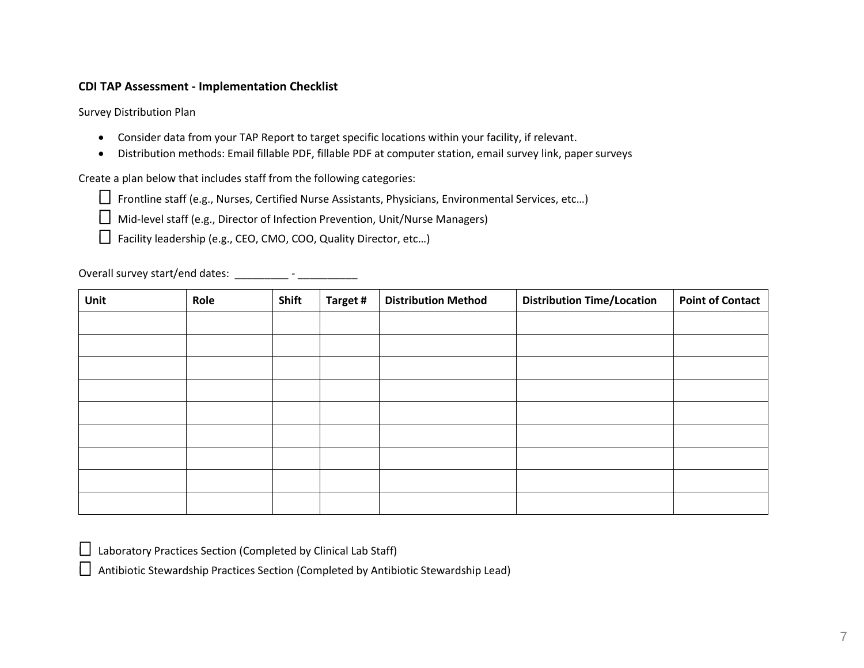### <span id="page-6-0"></span>**CDI TAP Assessment - Implementation Checklist**

Survey Distribution Plan

- Consider data from your TAP Report to target specific locations within your facility, if relevant.
- Distribution methods: Email fillable PDF, fillable PDF at computer station, email survey link, paper surveys

Create a plan below that includes staff from the following categories:

□ Frontline staff (e.g., Nurses, Certified Nurse Assistants, Physicians, Environmental Services, etc…)

□ Mid-level staff (e.g., Director of Infection Prevention, Unit/Nurse Managers)

□ Facility leadership (e.g., CEO, CMO, COO, Quality Director, etc...)

Overall survey start/end dates: \_\_\_\_\_\_\_\_\_\_ - \_\_\_\_\_\_\_\_\_\_\_\_\_

| Unit | Role | Shift | Target # | <b>Distribution Method</b> | <b>Distribution Time/Location</b> | <b>Point of Contact</b> |
|------|------|-------|----------|----------------------------|-----------------------------------|-------------------------|
|      |      |       |          |                            |                                   |                         |
|      |      |       |          |                            |                                   |                         |
|      |      |       |          |                            |                                   |                         |
|      |      |       |          |                            |                                   |                         |
|      |      |       |          |                            |                                   |                         |
|      |      |       |          |                            |                                   |                         |
|      |      |       |          |                            |                                   |                         |
|      |      |       |          |                            |                                   |                         |
|      |      |       |          |                            |                                   |                         |

□ Laboratory Practices Section (Completed by Clinical Lab Staff)

 $\Box$  Antibiotic Stewardship Practices Section (Completed by Antibiotic Stewardship Lead)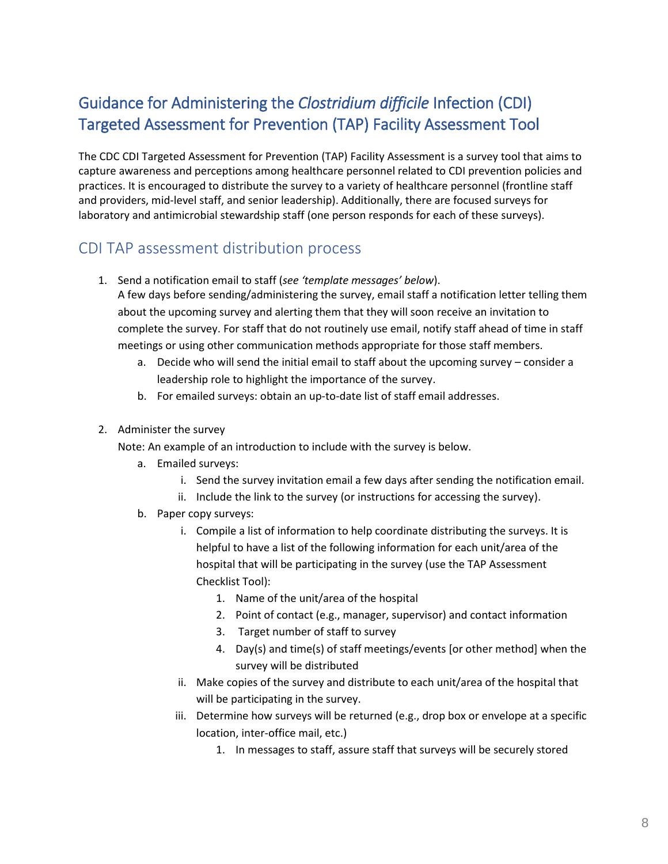# <span id="page-7-0"></span>Guidance for Administeringthe *Clostridium difficile* Infection (CDI) Targeted Assessment for Prevention (TAP) Facility Assessment Tool

The CDC CDI Targeted Assessment for Prevention (TAP) Facility Assessment is a survey tool that aims to capture awareness and perceptions among healthcare personnel related to CDI prevention policies and practices. It is encouraged to distribute the survey to a variety of healthcare personnel (frontline staff and providers, mid-level staff, and senior leadership). Additionally, there are focused surveys for laboratory and antimicrobial stewardship staff (one person responds for each of these surveys).

# CDI TAP assessment distribution process

1. Send a notification email to staff (*see 'template messages' below*).

A few days before sending/administering the survey, email staff a notification letter telling them about the upcoming survey and alerting them that they will soon receive an invitation to complete the survey. For staff that do not routinely use email, notify staff ahead of time in staff meetings or using other communication methods appropriate for those staff members.

- a. Decide who will send the initial email to staff about the upcoming survey consider a leadership role to highlight the importance of the survey.
- b. For emailed surveys: obtain an up-to-date list of staff email addresses.
- 2. Administer the survey

Note: An example of an introduction to include with the survey is below.

- a. Emailed surveys:
	- i. Send the survey invitation email a few days after sending the notification email.
	- ii. Include the link to the survey (or instructions for accessing the survey).
- b. Paper copy surveys:
	- i. Compile a list of information to help coordinate distributing the surveys. It is helpful to have a list of the following information for each unit/area of the hospital that will be participating in the survey (use the TAP Assessment Checklist Tool):
		- 1. Name of the unit/area of the hospital
		- 2. Point of contact (e.g., manager, supervisor) and contact information
		- 3. Target number of staff to survey
		- 4. Day(s) and time(s) of staff meetings/events [or other method] when the survey will be distributed
	- ii. Make copies of the survey and distribute to each unit/area of the hospital that will be participating in the survey.
	- iii. Determine how surveys will be returned (e.g., drop box or envelope at a specific location, inter-office mail, etc.)
		- 1. In messages to staff, assure staff that surveys will be securely stored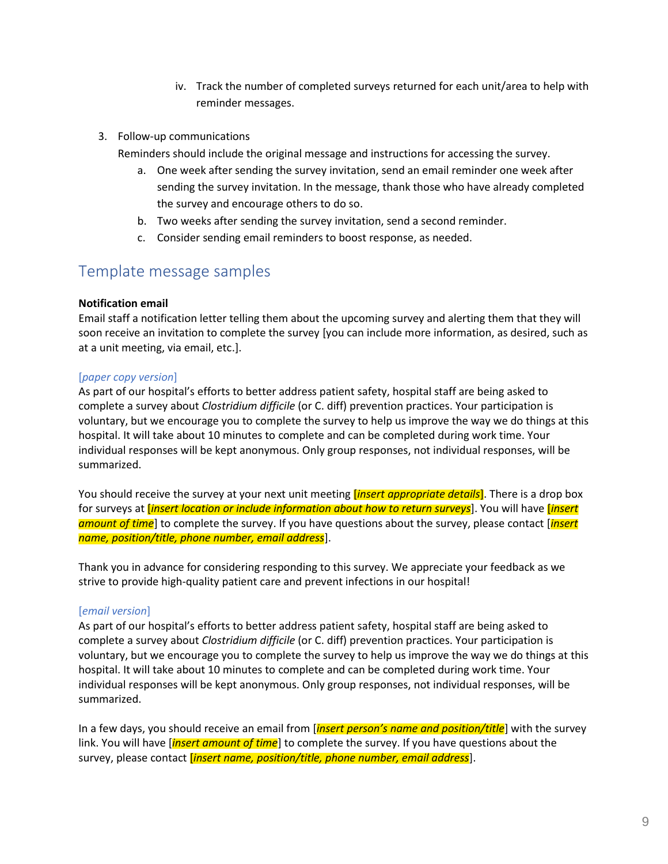- iv. Track the number of completed surveys returned for each unit/area to help with reminder messages.
- 3. Follow-up communications
	- Reminders should include the original message and instructions for accessing the survey.
		- a. One week after sending the survey invitation, send an email reminder one week after sending the survey invitation. In the message, thank those who have already completed the survey and encourage others to do so.
		- b. Two weeks after sending the survey invitation, send a second reminder.
		- c. Consider sending email reminders to boost response, as needed.

### Template message samples

### **Notification email**

Email staff a notification letter telling them about the upcoming survey and alerting them that they will soon receive an invitation to complete the survey [you can include more information, as desired, such as at a unit meeting, via email, etc.].

### [*paper copy version*]

As part of our hospital's efforts to better address patient safety, hospital staff are being asked to complete a survey about *Clostridium difficile* (or C. diff) prevention practices. Your participation is voluntary, but we encourage you to complete the survey to help us improve the way we do things at this hospital. It will take about 10 minutes to complete and can be completed during work time. Your individual responses will be kept anonymous. Only group responses, not individual responses, will be summarized.

You should receive the survey at your next unit meeting [*insert appropriate details*]. There is a drop box for surveys at [*insert location or include information about how to return surveys*]. You will have [*insert amount of time*] to complete the survey. If you have questions about the survey, please contact [*insert name, position/title, phone number, email address*].

Thank you in advance for considering responding to this survey. We appreciate your feedback as we strive to provide high-quality patient care and prevent infections in our hospital!

### [*email version*]

As part of our hospital's efforts to better address patient safety, hospital staff are being asked to complete a survey about *Clostridium difficile* (or C. diff) prevention practices. Your participation is voluntary, but we encourage you to complete the survey to help us improve the way we do things at this hospital. It will take about 10 minutes to complete and can be completed during work time. Your individual responses will be kept anonymous. Only group responses, not individual responses, will be summarized.

In a few days, you should receive an email from [*insert person's name and position/title*] with the survey link. You will have [*insert amount of time*] to complete the survey. If you have questions about the survey, please contact [*insert name, position/title, phone number, email address*].